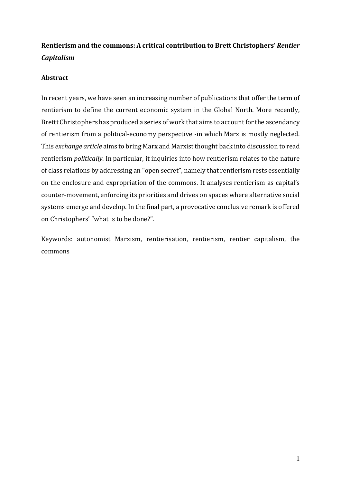# **Rentierism and the commons: A critical contribution to Brett Christophers'** *Rentier Capitalism*

### **Abstract**

In recent years, we have seen an increasing number of publications that offer the term of rentierism to define the current economic system in the Global North. More recently, Brettt Christophers has produced a series of work that aims to account for the ascendancy of rentierism from a political-economy perspective -in which Marx is mostly neglected. This *exchange article* aims to bring Marx and Marxist thought back into discussion to read rentierism *politically*. In particular, it inquiries into how rentierism relates to the nature of class relations by addressing an "open secret", namely that rentierism rests essentially on the enclosure and expropriation of the commons. It analyses rentierism as capital's counter-movement, enforcing its priorities and drives on spaces where alternative social systems emerge and develop. In the final part, a provocative conclusive remark is offered on Christophers' "what is to be done?".

Keywords: autonomist Marxism, rentierisation, rentierism, rentier capitalism, the commons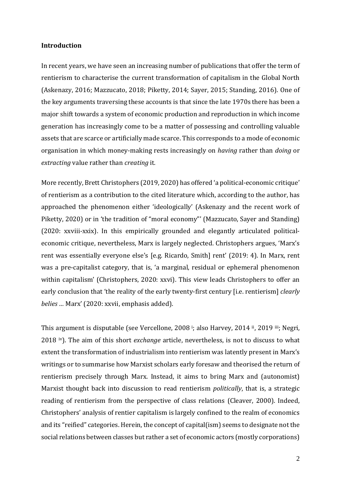#### **Introduction**

In recent years, we have seen an increasing number of publications that offer the term of rentierism to characterise the current transformation of capitalism in the Global North (Askenazy, 2016; Mazzucato, 2018; Piketty, 2014; Sayer, 2015; Standing, 2016). One of the key arguments traversing these accounts is that since the late 1970s there has been a major shift towards a system of economic production and reproduction in which income generation has increasingly come to be a matter of possessing and controlling valuable assets that are scarce or artificially made scarce. This corresponds to a mode of economic organisation in which money-making rests increasingly on *having* rather than *doing* or *extracting* value rather than *creating* it*.* 

More recently, Brett Christophers (2019, 2020) has offered 'a political-economic critique' of rentierism as a contribution to the cited literature which, according to the author, has approached the phenomenon either 'ideologically' (Askenazy and the recent work of Piketty, 2020) or in 'the tradition of "moral economy"' (Mazzucato, Sayer and Standing) (2020: xxviii-xxix). In this empirically grounded and elegantly articulated politicaleconomic critique, nevertheless, Marx is largely neglected. Christophers argues, 'Marx's rent was essentially everyone else's [e.g. Ricardo, Smith] rent' (2019: 4). In Marx, rent was a pre-capitalist category, that is, 'a marginal, residual or ephemeral phenomenon within capitalism' (Christophers, 2020: xxvi). This view leads Christophers to offer an early conclusion that 'the reality of the early twenty-first century [i.e. rentierism] *clearly belies …* Marx' (2020: xxvii, emphasis added).

This argument is disputable (see Vercellone, 2008 <sup>i</sup>; also Harvey, 2014 ii, 2019 iii; Negri, 2018 iv). The aim of this short *exchange* article, nevertheless, is not to discuss to what extent the transformation of industrialism into rentierism was latently present in Marx's writings or to summarise how Marxist scholars early foresaw and theorised the return of rentierism precisely through Marx. Instead, it aims to bring Marx and (autonomist) Marxist thought back into discussion to read rentierism *politically*, that is, a strategic reading of rentierism from the perspective of class relations (Cleaver, 2000). Indeed, Christophers' analysis of rentier capitalism is largely confined to the realm of economics and its "reified" categories. Herein, the concept of capital(ism) seems to designate not the social relations between classes but rather a set of economic actors (mostly corporations)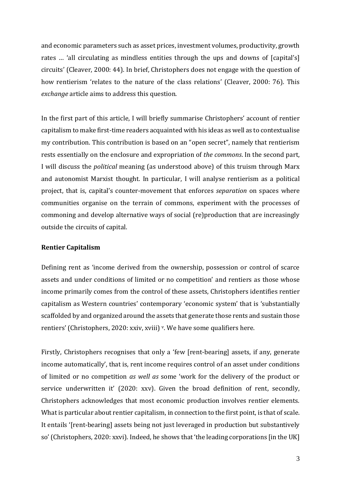and economic parameters such as asset prices, investment volumes, productivity, growth rates … 'all circulating as mindless entities through the ups and downs of [capital's] circuits' (Cleaver, 2000: 44). In brief, Christophers does not engage with the question of how rentierism 'relates to the nature of the class relations' (Cleaver, 2000: 76). This *exchange* article aims to address this question.

In the first part of this article, I will briefly summarise Christophers' account of rentier capitalism to make first-time readers acquainted with his ideas as well as to contextualise my contribution. This contribution is based on an "open secret", namely that rentierism rests essentially on the enclosure and expropriation of *the commons*. In the second part, I will discuss the *political* meaning (as understood above) of this truism through Marx and autonomist Marxist thought. In particular, I will analyse rentierism as a political project, that is, capital's counter-movement that enforces *separation* on spaces where communities organise on the terrain of commons, experiment with the processes of commoning and develop alternative ways of social (re)production that are increasingly outside the circuits of capital.

#### **Rentier Capitalism**

Defining rent as 'income derived from the ownership, possession or control of scarce assets and under conditions of limited or no competition' and rentiers as those whose income primarily comes from the control of these assets, Christophers identifies rentier capitalism as Western countries' contemporary 'economic system' that is 'substantially scaffolded by and organized around the assets that generate those rents and sustain those rentiers' (Christophers, 2020: xxiv, xviii) v. We have some qualifiers here.

Firstly, Christophers recognises that only a 'few [rent-bearing] assets, if any, generate income automatically', that is, rent income requires control of an asset under conditions of limited or no competition *as well as* some 'work for the delivery of the product or service underwritten it' (2020: xxv). Given the broad definition of rent, secondly, Christophers acknowledges that most economic production involves rentier elements. What is particular about rentier capitalism, in connection to the first point, is that of scale. It entails '[rent-bearing] assets being not just leveraged in production but substantively so' (Christophers, 2020: xxvi). Indeed, he shows that 'the leading corporations [in the UK]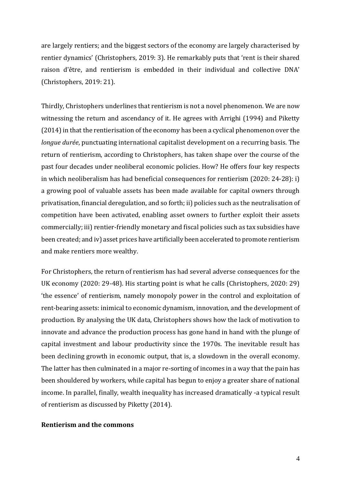are largely rentiers; and the biggest sectors of the economy are largely characterised by rentier dynamics' (Christophers, 2019: 3). He remarkably puts that 'rent is their shared raison d'être, and rentierism is embedded in their individual and collective DNA' (Christophers, 2019: 21).

Thirdly, Christophers underlines that rentierism is not a novel phenomenon. We are now witnessing the return and ascendancy of it. He agrees with Arrighi (1994) and Piketty (2014) in that the rentierisation of the economy has been a cyclical phenomenon over the *longue durée*, punctuating international capitalist development on a recurring basis. The return of rentierism, according to Christophers, has taken shape over the course of the past four decades under neoliberal economic policies. How? He offers four key respects in which neoliberalism has had beneficial consequences for rentierism (2020: 24-28): i) a growing pool of valuable assets has been made available for capital owners through privatisation, financial deregulation, and so forth; ii) policies such as the neutralisation of competition have been activated, enabling asset owners to further exploit their assets commercially; iii) rentier-friendly monetary and fiscal policies such as tax subsidies have been created; and iv) asset prices have artificially been accelerated to promote rentierism and make rentiers more wealthy.

For Christophers, the return of rentierism has had several adverse consequences for the UK economy (2020: 29-48). His starting point is what he calls (Christophers, 2020: 29) 'the essence' of rentierism, namely monopoly power in the control and exploitation of rent-bearing assets: inimical to economic dynamism, innovation, and the development of production. By analysing the UK data, Christophers shows how the lack of motivation to innovate and advance the production process has gone hand in hand with the plunge of capital investment and labour productivity since the 1970s. The inevitable result has been declining growth in economic output, that is, a slowdown in the overall economy. The latter has then culminated in a major re-sorting of incomes in a way that the pain has been shouldered by workers, while capital has begun to enjoy a greater share of national income. In parallel, finally, wealth inequality has increased dramatically -a typical result of rentierism as discussed by Piketty (2014).

#### **Rentierism and the commons**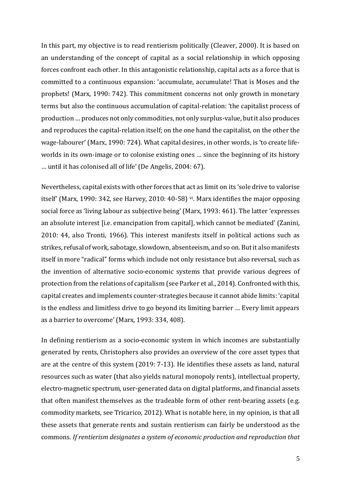In this part, my objective is to read rentierism politically (Cleaver, 2000). It is based on an understanding of the concept of capital as a social relationship in which opposing forces confront each other. In this antagonistic relationship, capital acts as a force that is committed to a continuous expansion: 'accumulate, accumulate! That is Moses and the prophets! (Marx, 1990: 742). This commitment concerns not only growth in monetary terms but also the continuous accumulation of capital-relation: 'the capitalist process of production … produces not only commodities, not only surplus-value, but it also produces and reproduces the capital-relation itself; on the one hand the capitalist, on the other the wage-labourer' (Marx, 1990: 724). What capital desires, in other words, is 'to create lifeworlds in its own-image or to colonise existing ones … since the beginning of its history … until it has colonised all of life' (De Angelis, 2004: 67).

Nevertheless, capital exists with other forces that act as limit on its 'sole drive to valorise itself' (Marx, 1990: 342, see Harvey, 2010: 40-58) vi. Marx identifies the major opposing social force as 'living labour as subjective being' (Marx, 1993: 461). The latter 'expresses an absolute interest [i.e. emancipation from capital], which cannot be mediated' (Zanini, 2010: 44, also Tronti, 1966). This interest manifests itself in political actions such as strikes, refusal of work, sabotage, slowdown, absenteeism, and so on. But it also manifests itself in more "radical" forms which include not only resistance but also reversal, such as the invention of alternative socio-economic systems that provide various degrees of protection from the relations of capitalism (see Parker et al., 2014). Confronted with this, capital creates and implements counter-strategies because it cannot abide limits: 'capital is the endless and limitless drive to go beyond its limiting barrier … Every limit appears as a barrier to overcome' (Marx, 1993: 334, 408).

In defining rentierism as a socio-economic system in which incomes are substantially generated by rents, Christophers also provides an overview of the core asset types that are at the centre of this system (2019: 7-13). He identifies these assets as land, natural resources such as water (that also yields natural monopoly rents), intellectual property, electro-magnetic spectrum, user-generated data on digital platforms, and financial assets that often manifest themselves as the tradeable form of other rent-bearing assets (e.g. commodity markets, see Tricarico, 2012). What is notable here, in my opinion, is that all these assets that generate rents and sustain rentierism can fairly be understood as the commons. *If rentierism designates a system of economic production and reproduction that*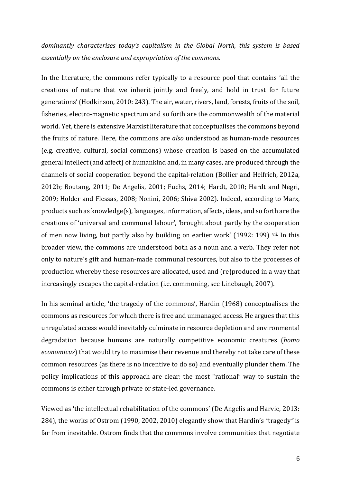# *dominantly characterises today's capitalism in the Global North, this system is based essentially on the enclosure and expropriation of the commons.*

In the literature, the commons refer typically to a resource pool that contains 'all the creations of nature that we inherit jointly and freely, and hold in trust for future generations' (Hodkinson, 2010: 243). The air, water, rivers, land, forests, fruits of the soil, fisheries, electro-magnetic spectrum and so forth are the commonwealth of the material world. Yet, there is extensive Marxist literature that conceptualises the commons beyond the fruits of nature. Here, the commons are *also* understood as human-made resources (e.g. creative, cultural, social commons) whose creation is based on the accumulated general intellect (and affect) of humankind and, in many cases, are produced through the channels of social cooperation beyond the capital-relation (Bollier and Helfrich, 2012a, 2012b; Boutang, 2011; De Angelis, 2001; Fuchs, 2014; Hardt, 2010; Hardt and Negri, 2009; Holder and Flessas, 2008; Nonini, 2006; Shiva 2002). Indeed, according to Marx, products such as knowledge(s), languages, information, affects, ideas, and so forth are the creations of 'universal and communal labour', 'brought about partly by the cooperation of men now living, but partly also by building on earlier work' (1992: 199) vii. In this broader view, the commons are understood both as a noun and a verb. They refer not only to nature's gift and human-made communal resources, but also to the processes of production whereby these resources are allocated, used and (re)produced in a way that increasingly escapes the capital-relation (i.e. commoning, see Linebaugh, 2007).

In his seminal article, 'the tragedy of the commons', Hardin (1968) conceptualises the commons as resources for which there is free and unmanaged access. He argues that this unregulated access would inevitably culminate in resource depletion and environmental degradation because humans are naturally competitive economic creatures (*homo economicus*) that would try to maximise their revenue and thereby not take care of these common resources (as there is no incentive to do so) and eventually plunder them. The policy implications of this approach are clear: the most "rational" way to sustain the commons is either through private or state-led governance.

Viewed as 'the intellectual rehabilitation of the commons' (De Angelis and Harvie, 2013: 284), the works of Ostrom (1990, 2002, 2010) elegantly show that Hardin's *"*tragedy*"* is far from inevitable. Ostrom finds that the commons involve communities that negotiate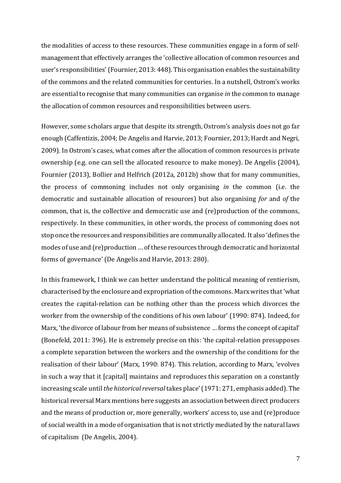the modalities of access to these resources. These communities engage in a form of selfmanagement that effectively arranges the 'collective allocation of common resources and user's responsibilities' (Fournier, 2013: 448). This organisation enables the sustainability of the commons and the related communities for centuries. In a nutshell, Ostrom's works are essential to recognise that many communities can organise *in* the common to manage the allocation of common resources and responsibilities between users.

However, some scholars argue that despite its strength, Ostrom's analysis does not go far enough (Caffentizis, 2004; De Angelis and Harvie, 2013; Fournier, 2013; Hardt and Negri, 2009). In Ostrom's cases, what comes after the allocation of common resources is private ownership (e.g. one can sell the allocated resource to make money). De Angelis (2004), Fournier (2013), Bollier and Helfrich (2012a, 2012b) show that for many communities, the process of commoning includes not only organising *in* the common (i.e. the democratic and sustainable allocation of resources) but also organising *for* and *of* the common, that is, the collective and democratic use and (re)production of the commons, respectively. In these communities, in other words, the process of commoning does not stop once the resources and responsibilities are communally allocated. It also 'defines the modes of use and (re)production … of these resources through democratic and horizontal forms of governance' (De Angelis and Harvie, 2013: 280).

In this framework, I think we can better understand the political meaning of rentierism, characterised by the enclosure and expropriation of the commons. Marx writes that 'what creates the capital-relation can be nothing other than the process which divorces the worker from the ownership of the conditions of his own labour' (1990: 874). Indeed, for Marx, 'the divorce of labour from her means of subsistence … forms the concept of capital' (Bonefeld, 2011: 396). He is extremely precise on this: 'the capital-relation presupposes a complete separation between the workers and the ownership of the conditions for the realisation of their labour' (Marx, 1990: 874). This relation, according to Marx, 'evolves in such a way that it [capital] maintains and reproduces this separation on a constantly increasing scale until *the historical reversal* takes place' (1971: 271, emphasis added). The historical reversal Marx mentions here suggests an association between direct producers and the means of production or, more generally, workers' access to, use and (re)produce of social wealth in a mode of organisation that is not strictly mediated by the natural laws of capitalism (De Angelis, 2004).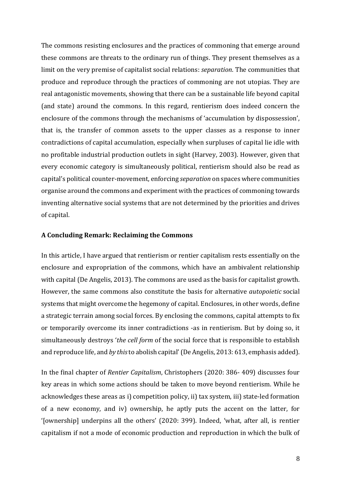The commons resisting enclosures and the practices of commoning that emerge around these commons are threats to the ordinary run of things. They present themselves as a limit on the very premise of capitalist social relations: *separation*. The communities that produce and reproduce through the practices of commoning are not utopias. They are real antagonistic movements, showing that there can be a sustainable life beyond capital (and state) around the commons. In this regard, rentierism does indeed concern the enclosure of the commons through the mechanisms of 'accumulation by dispossession', that is, the transfer of common assets to the upper classes as a response to inner contradictions of capital accumulation, especially when surpluses of capital lie idle with no profitable industrial production outlets in sight (Harvey, 2003). However, given that every economic category is simultaneously political, rentierism should also be read as capital's political counter-movement, enforcing *separation* on spaces where communities organise around the commons and experiment with the practices of commoning towards inventing alternative social systems that are not determined by the priorities and drives of capital.

#### **A Concluding Remark: Reclaiming the Commons**

In this article, I have argued that rentierism or rentier capitalism rests essentially on the enclosure and expropriation of the commons, which have an ambivalent relationship with capital (De Angelis, 2013). The commons are used as the basis for capitalist growth. However, the same commons also constitute the basis for alternative *autopoietic* social systems that might overcome the hegemony of capital. Enclosures, in other words, define a strategic terrain among social forces. By enclosing the commons, capital attempts to fix or temporarily overcome its inner contradictions -as in rentierism. But by doing so, it simultaneously destroys '*the cell form* of the social force that is responsible to establish and reproduce life, and *by this*to abolish capital'(De Angelis, 2013: 613, emphasis added).

In the final chapter of *Rentier Capitalism*, Christophers (2020: 386- 409) discusses four key areas in which some actions should be taken to move beyond rentierism. While he acknowledges these areas as i) competition policy, ii) tax system, iii) state-led formation of a new economy, and iv) ownership, he aptly puts the accent on the latter, for '[ownership] underpins all the others' (2020: 399). Indeed, 'what, after all, is rentier capitalism if not a mode of economic production and reproduction in which the bulk of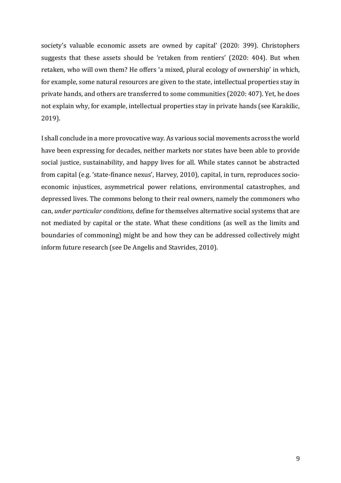society's valuable economic assets are owned by capital' (2020: 399). Christophers suggests that these assets should be 'retaken from rentiers' (2020: 404). But when retaken, who will own them? He offers 'a mixed, plural ecology of ownership' in which, for example, some natural resources are given to the state, intellectual properties stay in private hands, and others are transferred to some communities (2020: 407). Yet, he does not explain why, for example, intellectual properties stay in private hands (see Karakilic, 2019).

I shall conclude in a more provocative way. As various social movements across the world have been expressing for decades, neither markets nor states have been able to provide social justice, sustainability, and happy lives for all. While states cannot be abstracted from capital (e.g. 'state-finance nexus', Harvey, 2010), capital, in turn, reproduces socioeconomic injustices, asymmetrical power relations, environmental catastrophes, and depressed lives. The commons belong to their real owners, namely the commoners who can, *under particular conditions*, define for themselves alternative social systems that are not mediated by capital or the state. What these conditions (as well as the limits and boundaries of commoning) might be and how they can be addressed collectively might inform future research (see De Angelis and Stavrides, 2010).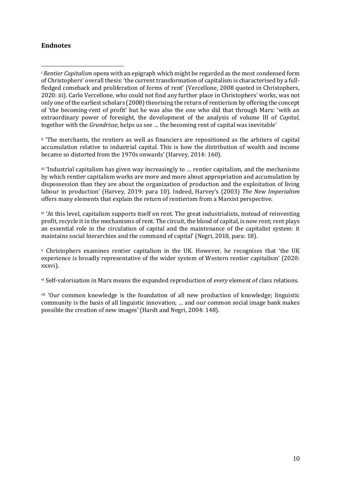## **Endnotes**

ii 'The merchants, the rentiers as well as financiers are repositioned as the arbiters of capital accumulation relative to industrial capital. This is how the distribution of wealth and income became so distorted from the 1970s onwards' (Harvey, 2014: 160).

iii 'Industrial capitalism has given way increasingly to … rentier capitalism, and the mechanisms by which rentier capitalism works are more and more about appropriation and accumulation by dispossession than they are about the organization of production and the exploitation of living labour in production' (Harvey, 2019: para 10). Indeed, Harvey's (2003) *The New Imperialism* offers many elements that explain the return of rentierism from a Marxist perspective.

iv 'At this level, capitalism supports itself on rent. The great industrialists, instead of reinvesting profit, recycle it in the mechanisms of rent. The circuit, the blood of capital, is now rent; rent plays an essential role in the circulation of capital and the maintenance of the capitalist system: it maintains social hierarchies and the command of capital' (Negri, 2018, para: 18).

<sup>v</sup> Christophers examines rentier capitalism in the UK. However, he recognises that 'the UK experience is broadly representative of the wider system of Western rentier capitalism' (2020: xxxvi).

vi Self-valorisation in Marx means the expanded reproduction of *every* element of class relations.

vii 'Our common knowledge is the foundation of all new production of knowledge; linguistic community is the basis of all linguistic innovation; … and our common social image bank makes possible the creation of new images' (Hardt and Negri, 2004: 148).

<sup>i</sup> *Rentier Capitalism* opens with an epigraph which might be regarded as the most condensed form of Christophers' overall thesis: 'the current transformation of capitalism is characterised by a fullfledged comeback and proliferation of forms of rent' (Vercellone, 2008 quoted in Christophers, 2020: iii). Carlo Vercellone, who could not find any further place in Christophers' works, was not only one of the earliest scholars (2008) theorising the return of rentierism by offering the concept of 'the becoming-rent of profit' but he was also the one who did that through Marx: 'with an extraordinary power of foresight, the development of the analysis of volume III of *Capital*, together with the *Grundrisse*, helps us see … the becoming rent of capital was inevitable'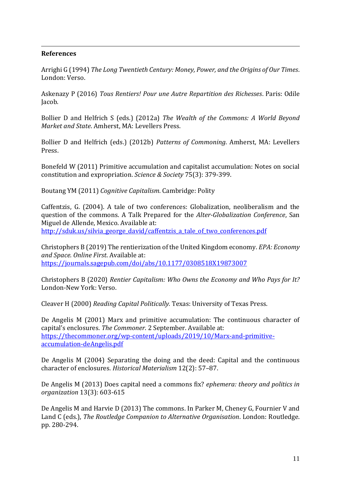### **References**

Arrighi G (1994) *The Long Twentieth Century: Money, Power, and the Origins of Our Times*. London: Verso.

Askenazy P (2016) *Tous Rentiers! Pour une Autre Repartition des Richesses*. Paris: Odile Jacob.

Bollier D and Helfrich S (eds.) (2012a) *The Wealth of the Commons: A World Beyond Market and State*. Amherst, MA: Levellers Press.

Bollier D and Helfrich (eds.) (2012b) *Patterns of Commoning*. Amherst, MA: Levellers Press.

Bonefeld W (2011) Primitive accumulation and capitalist accumulation: Notes on social constitution and expropriation. *Science & Society* 75(3): 379-399.

Boutang YM (2011) *Cognitive Capitalism*. Cambridge: Polity

Caffentzis, G. (2004). A tale of two conferences: Globalization, neoliberalism and the question of the commons. A Talk Prepared for the *Alter-Globalization Conference*, San Miguel de Allende, Mexico. Available at: [http://sduk.us/silvia\\_george\\_david/caffentzis\\_a\\_tale\\_of\\_two\\_conferences.pdf](http://sduk.us/silvia_george_david/caffentzis_a_tale_of_two_conferences.pdf)

Christophers B (2019) The rentierization of the United Kingdom economy. *EPA: Economy and Space. Online First*. Available at: <https://journals.sagepub.com/doi/abs/10.1177/0308518X19873007>

Christophers B (2020) *Rentier Capitalism: Who Owns the Economy and Who Pays for It?* London-New York: Verso.

Cleaver H (2000) *Reading Capital Politically.* Texas: University of Texas Press.

De Angelis M (2001) Marx and primitive accumulation: The continuous character of capital's enclosures. *The Commoner*. 2 September. Available at: [https://thecommoner.org/wp-content/uploads/2019/10/Marx-and-primitive](https://thecommoner.org/wp-content/uploads/2019/10/Marx-and-primitive-accumulation-deAngelis.pdf)[accumulation-deAngelis.pdf](https://thecommoner.org/wp-content/uploads/2019/10/Marx-and-primitive-accumulation-deAngelis.pdf)

De Angelis M (2004) Separating the doing and the deed: Capital and the continuous character of enclosures. *Historical Materialism* 12(2): 57–87.

De Angelis M (2013) Does capital need a commons fix? *ephemera: theory and politics in organization* 13(3): 603-615

De Angelis M and Harvie D (2013) The commons. In Parker M, Cheney G, Fournier V and Land C (eds.), *The Routledge Companion to Alternative Organisation*. London: Routledge. pp. 280-294.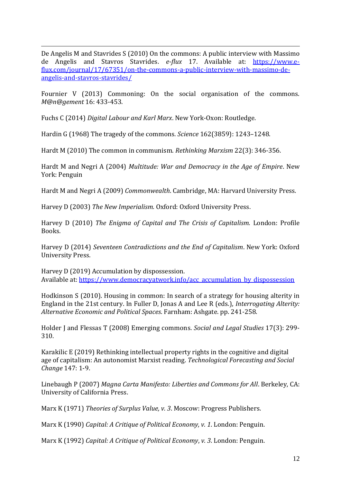De Angelis M and Stavrides S (2010) On the commons: A public interview with Massimo de Angelis and Stavros Stavrides. *e-flux* 17. Available at: [https://www.e](https://www.e-flux.com/journal/17/67351/on-the-commons-a-public-interview-with-massimo-de-angelis-and-stavros-stavrides/)[flux.com/journal/17/67351/on-the-commons-a-public-interview-with-massimo-de](https://www.e-flux.com/journal/17/67351/on-the-commons-a-public-interview-with-massimo-de-angelis-and-stavros-stavrides/)[angelis-and-stavros-stavrides/](https://www.e-flux.com/journal/17/67351/on-the-commons-a-public-interview-with-massimo-de-angelis-and-stavros-stavrides/)

Fournier V (2013) Commoning: On the social organisation of the commons. *M@n@gement* 16: 433-453.

Fuchs C (2014) *Digital Labour and Karl Marx*. New York-Oxon: Routledge.

Hardin G (1968) The tragedy of the commons. *Science* 162(3859): 1243–1248.

Hardt M (2010) The common in communism. *Rethinking Marxism* 22(3): 346-356.

Hardt M and Negri A (2004) *Multitude: War and Democracy in the Age of Empire*. New York: Penguin

Hardt M and Negri A (2009) *Commonwealth*. Cambridge, MA: Harvard University Press.

Harvey D (2003) *The New Imperialism.* Oxford: Oxford University Press.

Harvey D (2010) *The Enigma of Capital and The Crisis of Capitalism.* London: Profile Books.

Harvey D (2014) *Seventeen Contradictions and the End of Capitalism*. New York: Oxford University Press.

Harvey D (2019) Accumulation by dispossession. Available at: [https://www.democracyatwork.info/acc\\_accumulation\\_by\\_dispossession](https://www.democracyatwork.info/acc_accumulation_by_dispossession)

Hodkinson S (2010). Housing in common: In search of a strategy for housing alterity in England in the 21st century. In Fuller D, Jonas A and Lee R (eds.), *Interrogating Alterity: Alternative Economic and Political Spaces*. Farnham: Ashgate. pp. 241-258.

Holder J and Flessas T (2008) Emerging commons. *Social and Legal Studies* 17(3): 299- 310.

Karakilic E (2019) Rethinking intellectual property rights in the cognitive and digital age of capitalism: An autonomist Marxist reading. *Technological Forecasting and Social Change* 147: 1-9.

Linebaugh P (2007) *Magna Carta Manifesto: Liberties and Commons for All*. Berkeley, CA: University of California Press.

Marx K (1971) *Theories of Surplus Value, v. 3*. Moscow: Progress Publishers.

Marx K (1990) *Capital: A Critique of Political Economy, v. 1*. London: Penguin.

Marx K (1992) *Capital: A Critique of Political Economy*, *v. 3*. London: Penguin.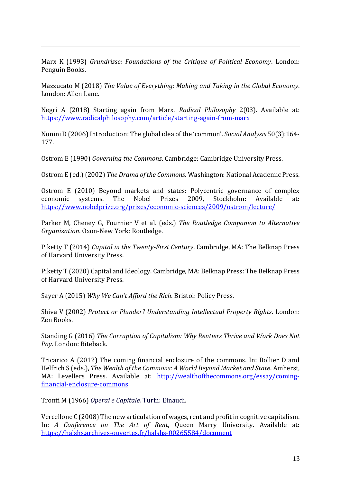Marx K (1993) *Grundrisse: Foundations of the Critique of Political Economy*. London: Penguin Books.

Mazzucato M (2018) *The Value of Everything: Making and Taking in the Global Economy*. London: Allen Lane.

Negri A (2018) Starting again from Marx. *Radical Philosophy* 2(03). Available at: <https://www.radicalphilosophy.com/article/starting-again-from-marx>

Nonini D (2006) Introduction: The global idea of the 'common'. *Social Analysis* 50(3):164- 177.

Ostrom E (1990) *Governing the Commons*. Cambridge: Cambridge University Press.

Ostrom E (ed.) (2002) *The Drama of the Commons*. Washington: National Academic Press.

Ostrom E (2010) Beyond markets and states: Polycentric governance of complex economic systems. The Nobel Prizes 2009, Stockholm: Available at: <https://www.nobelprize.org/prizes/economic-sciences/2009/ostrom/lecture/>

Parker M, Cheney G, Fournier V et al. (eds.) *The Routledge Companion to Alternative Organization*. Oxon-New York: Routledge.

Piketty T (2014) *Capital in the Twenty-First Century*. Cambridge, MA: The Belknap Press of Harvard University Press.

Piketty T (2020) Capital and Ideology. Cambridge, MA: Belknap Press: The Belknap Press of Harvard University Press.

Sayer A (2015) *Why We Can't Afford the Rich*. Bristol: Policy Press.

Shiva V (2002) *Protect or Plunder? Understanding Intellectual Property Rights*. London: Zen Books.

Standing G (2016) *The Corruption of Capitalism: Why Rentiers Thrive and Work Does Not Pay*. London: Biteback.

Tricarico A (2012) The coming financial enclosure of the commons. In: Bollier D and Helfrich S (eds.), *The Wealth of the Commons: A World Beyond Market and State*. Amherst, MA: Levellers Press. Available at: [http://wealthofthecommons.org/essay/coming](http://wealthofthecommons.org/essay/coming-financial-enclosure-commons)[financial-enclosure-commons](http://wealthofthecommons.org/essay/coming-financial-enclosure-commons)

Tronti M (1966) *Operai e Capitale.* Turin: Einaudi.

Vercellone C (2008) The new articulation of wages, rent and profit in cognitive capitalism. In: *A Conference on The Art of Rent*, Queen Marry University. Available at: <https://halshs.archives-ouvertes.fr/halshs-00265584/document>